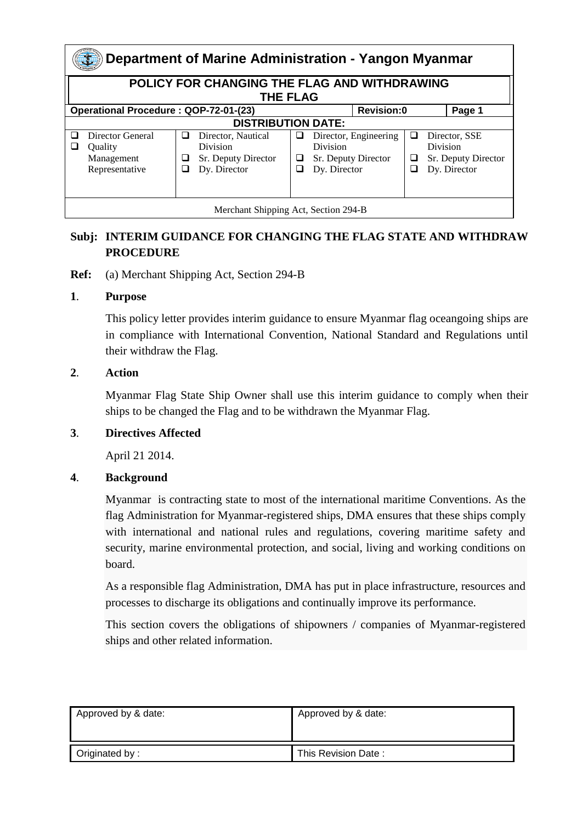| Department of Marine Administration - Yangon Myanmar            |                                                             |             |                                                                       |             |                                                        |                       |   |                                                                  |  |
|-----------------------------------------------------------------|-------------------------------------------------------------|-------------|-----------------------------------------------------------------------|-------------|--------------------------------------------------------|-----------------------|---|------------------------------------------------------------------|--|
| POLICY FOR CHANGING THE FLAG AND WITHDRAWING<br><b>THE FLAG</b> |                                                             |             |                                                                       |             |                                                        |                       |   |                                                                  |  |
| Operational Procedure: QOP-72-01-(23)                           |                                                             |             |                                                                       |             | <b>Revision:0</b>                                      |                       |   | Page 1                                                           |  |
| <b>DISTRIBUTION DATE:</b>                                       |                                                             |             |                                                                       |             |                                                        |                       |   |                                                                  |  |
| $\mathcal{L}$                                                   | Director General<br>Ouality<br>Management<br>Representative | ப<br>⊔<br>⊔ | Director, Nautical<br>Division<br>Sr. Deputy Director<br>Dy. Director | ⊔<br>⊔<br>▁ | <b>Division</b><br>Sr. Deputy Director<br>Dy. Director | Director, Engineering | ⊔ | Director, SSE<br>Division<br>Sr. Deputy Director<br>Dy. Director |  |
| Merchant Shipping Act, Section 294-B                            |                                                             |             |                                                                       |             |                                                        |                       |   |                                                                  |  |

## **Subj: INTERIM GUIDANCE FOR CHANGING THE FLAG STATE AND WITHDRAW PROCEDURE**

**Ref:** (a) Merchant Shipping Act, Section 294-B

#### **1**. **Purpose**

This policy letter provides interim guidance to ensure Myanmar flag oceangoing ships are in compliance with International Convention, National Standard and Regulations until their withdraw the Flag.

#### **2**. **Action**

Myanmar Flag State Ship Owner shall use this interim guidance to comply when their ships to be changed the Flag and to be withdrawn the Myanmar Flag.

### **3**. **Directives Affected**

April 21 2014.

#### **4**. **Background**

Myanmar is contracting state to most of the international maritime Conventions. As the flag Administration for Myanmar-registered ships, DMA ensures that these ships comply with international and national rules and regulations, covering maritime safety and security, marine environmental protection, and social, living and working conditions on board.

As a responsible flag Administration, DMA has put in place infrastructure, resources and processes to discharge its obligations and continually improve its performance.

This section covers the obligations of shipowners / companies of Myanmar-registered ships and other related information.

| Approved by & date: | Approved by & date: |
|---------------------|---------------------|
| Originated by:      | This Revision Date: |